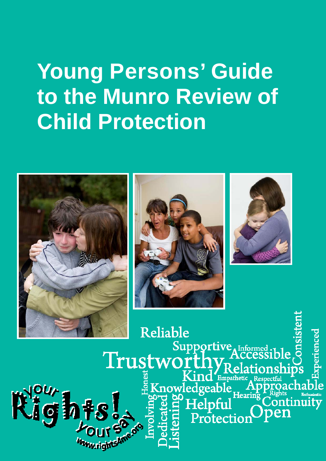# **Young Persons' Guide to the Munro Review of Child Protection**







Reliable perienced Supportive Informed Trustworth nd Empathetic **gints** Knowledgeable Ap thus Enthusiastic R. Protection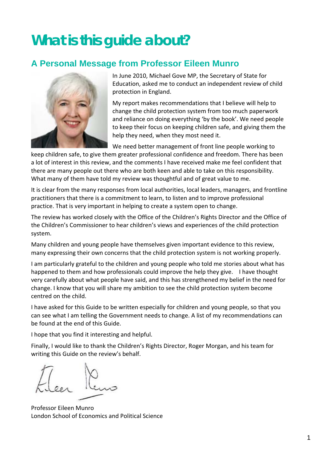## **What is this guide about?**

### **A Personal Message from Professor Eileen Munro**



 In June 2010, Michael Gove MP, the Secretary of State for Education, asked me to conduct an independent review of child protection in England.

 My report makes recommendations that I believe will help to change the child protection system from too much paperwork and reliance on doing everything 'by the book'. We need people to keep their focus on keeping children safe, and giving them the help they need, when they most need it.

We need better management of front line people working to

 keep children safe, to give them greater professional confidence and freedom. There has been a lot of interest in this review, and the comments I have received make me feel confident that there are many people out there who are both keen and able to take on this responsibility. What many of them have told my review was thoughtful and of great value to me.

 It is clear from the many responses from local authorities, local leaders, managers, and frontline practitioners that there is a commitment to learn, to listen and to improve professional practice. That is very important in helping to create a system open to change.

 The review has worked closely with the Office of the Children's Rights Director and the Office of the Children's Commissioner to hear children's views and experiences of the child protection system.

 Many children and young people have themselves given important evidence to this review, many expressing their own concerns that the child protection system is not working properly.

 I am particularly grateful to the children and young people who told me stories about what has happened to them and how professionals could improve the help they give. I have thought very carefully about what people have said, and this has strengthened my belief in the need for change. I know that you will share my ambition to see the child protection system become centred on the child.

 I have asked for this Guide to be written especially for children and young people, so that you can see what I am telling the Government needs to change. A list of my recommendations can be found at the end of this Guide.

I hope that you find it interesting and helpful.

 Finally, I would like to thank the Children's Rights Director, Roger Morgan, and his team for writing this Guide on the review's behalf.

 Professor Eileen Munro London School of Economics and Political Science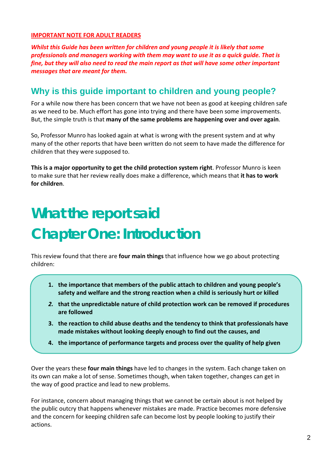#### **IMPORTANT NOTE FOR ADULT READERS**

Whilst this Guide has been written for children and young people it is likely that some professionals and managers working with them may want to use it as a quick guide. That is fine, but they will also need to read the main report as that will have some other important  *messages that are meant for them.*

#### **Why is this guide important to children and young people?**

 For a while now there has been concern that we have not been as good at keeping children safe as we need to be. Much effort has gone into trying and there have been some improvements.  But, the simple truth is that **many of the same problems are happening over and over again**.

 So, Professor Munro has looked again at what is wrong with the present system and at why many of the other reports that have been written do not seem to have made the difference for children that they were supposed to.

 **This is a major opportunity to get the child protection system right**. Professor Munro is keen  to make sure that her review really does make a difference, which means that **it has to work for children**.

## **What the report said Chapter One: Introduction**

  This review found that there are **four main things** that influence how we go about protecting children:

- **1. the importance that members of the public attach to children and young people's safety and welfare and the strong reaction when a child is seriously hurt or killed**
- *2.* **that the unpredictable nature of child protection work can be removed if procedures are followed**
- **3. the reaction to child abuse deaths and the tendency to think that professionals have made mistakes without looking deeply enough to find out the causes, and**
- **4. the importance of performance targets and process over the quality of help given**

  Over the years these **four main things** have led to changes in the system. Each change taken on its own can make a lot of sense. Sometimes though, when taken together, changes can get in the way of good practice and lead to new problems.

 For instance, concern about managing things that we cannot be certain about is not helped by the public outcry that happens whenever mistakes are made. Practice becomes more defensive and the concern for keeping children safe can become lost by people looking to justify their actions.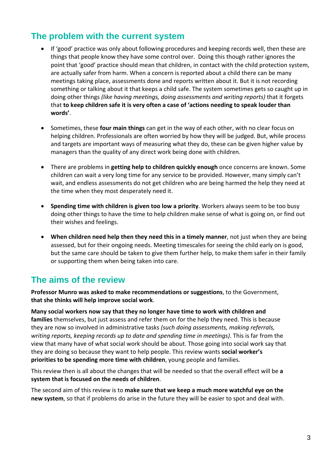### **The problem with the current system**

- If 'good' practice was only about following procedures and keeping records well, then these are things that people know they have some control over. Doing this though rather ignores the point that 'good' practice should mean that children, in contact with the child protection system, are actually safer from harm. When a concern is reported about a child there can be many meetings taking place, assessments done and reports written about it. But it is not recording something or talking about it that keeps a child safe. The system sometimes gets so caught up in  doing other things *(like having meetings, doing assessments and writing reports)* that it forgets that to keep children safe it is very often a case of 'actions needing to speak louder than **words'**.
- • Sometimes, these **four main things** can get in the way of each other, with no clear focus on helping children. Professionals are often worried by how they will be judged. But, while process and targets are important ways of measuring what they do, these can be given higher value by managers than the quality of any direct work being done with children.
- • There are problems in **getting help to children quickly enough** once concerns are known. Some children can wait a very long time for any service to be provided. However, many simply can't wait, and endless assessments do not get children who are being harmed the help they need at the time when they most desperately need it.
- • **Spending time with children is given too low a priority**. Workers always seem to be too busy doing other things to have the time to help children make sense of what is going on, or find out their wishes and feelings.
- • **When children need help then they need this in a timely manner**, not just when they are being assessed, but for their ongoing needs. Meeting timescales for seeing the child early on is good, but the same care should be taken to give them further help, to make them safer in their family or supporting them when being taken into care.

#### **The aims of the review**

 **Professor Munro was asked to make recommendations or suggestions**, to the Government,  **that she thinks will help improve social work**.

Many social workers now say that they no longer have time to work with children and **families** themselves, but just assess and refer them on for the help they need. This is because  they are now so involved in administrative tasks *(such doing assessments, making referrals, writing reports, keeping records up to date and spending time in meetings)*. This is far from the view that many have of what social work should be about. Those going into social work say that  they are doing so because they want to help people. This review wants **social worker's priorities to be spending more time with children**, young people and families.

 This review then is all about the changes that will be needed so that the overall effect will be **a system that is focused on the needs of children**.

  The second aim of this review is to **make sure that we keep a much more watchful eye on the new system**, so that if problems do arise in the future they will be easier to spot and deal with.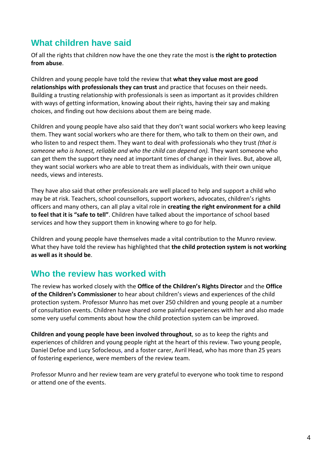### **What children have said**

  Of all the rights that children now have the one they rate the most is **the right to protection from abuse**.

  Children and young people have told the review that **what they value most are good relationships with professionals they can trust** and practice that focuses on their needs. Building a trusting relationship with professionals is seen as important as it provides children with ways of getting information, knowing about their rights, having their say and making choices, and finding out how decisions about them are being made.

 Children and young people have also said that they don't want social workers who keep leaving them. They want social workers who are there for them, who talk to them on their own, and  who listen to and respect them. They want to deal with professionals who they trust *(that is someone who is honest, reliable and who the child can depend on).* They want someone who can get them the support they need at important times of change in their lives. But, above all, they want social workers who are able to treat them as individuals, with their own unique needs, views and interests.

 They have also said that other professionals are well placed to help and support a child who may be at risk. Teachers, school counsellors, support workers, advocates, children's rights  officers and many others, can all play a vital role in **creating the right environment for a child to feel that it is "safe to tell"**. Children have talked about the importance of school based services and how they support them in knowing where to go for help.

 Children and young people have themselves made a vital contribution to the Munro review.  What they have told the review has highlighted that **the child protection system is not working as well as it should be**.

#### **Who the review has worked with**

  The review has worked closely with the **Office of the Children's Rights Director** and the **Office of the Children's Commissioner** to hear about children's views and experiences of the child protection system. Professor Munro has met over 250 children and young people at a number of consultation events. Children have shared some painful experiences with her and also made some very useful comments about how the child protection system can be improved.

 **Children and young people have been involved throughout**, so as to keep the rights and experiences of children and young people right at the heart of this review. Two young people, Daniel Defoe and Lucy Sofocleous, and a foster carer, Avril Head, who has more than 25 years of fostering experience, were members of the review team.

 Professor Munro and her review team are very grateful to everyone who took time to respond or attend one of the events.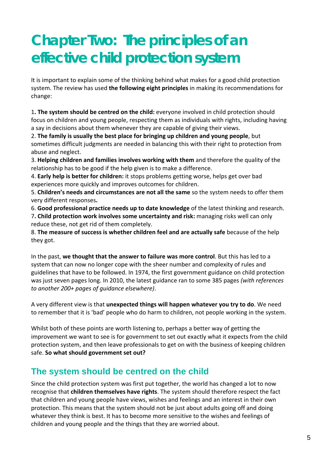## **Chapter Two: The principles of an effective child protection system**

 It is important to explain some of the thinking behind what makes for a good child protection  system. The review has used **the following eight principles** in making its recommendations for change:

 1**. The system should be centred on the child:** everyone involved in child protection should focus on children and young people, respecting them as individuals with rights, including having a say in decisions about them whenever they are capable of giving their views.

 2. **The family is usually the best place for bringing up children and young people**, but sometimes difficult judgments are needed in balancing this with their right to protection from abuse and neglect.

 3. **Helping children and families involves working with them** and therefore the quality of the relationship has to be good if the help given is to make a difference.

 4. **Early help is better for children:** it stops problems getting worse, helps get over bad experiences more quickly and improves outcomes for children.

 5. **Children's needs and circumstances are not all the same** so the system needs to offer them very different responses**.**

 6. **Good professional practice needs up to date knowledge** of the latest thinking and research.

 7**. Child protection work involves some uncertainty and risk:** managing risks well can only reduce these, not get rid of them completely.

 8. **The measure of success is whether children feel and are actually safe** because of the help they got.

  In the past, **we thought that the answer to failure was more control**. But this has led to a system that can now no longer cope with the sheer number and complexity of rules and guidelines that have to be followed. In 1974, the first government guidance on child protection  was just seven pages long. In 2010, the latest guidance ran to some 385 pages *(with references to another 200+ pages of guidance elsewhere)*.

  A very different view is that **unexpected things will happen whatever you try to do**. We need to remember that it is 'bad' people who do harm to children, not people working in the system.

 Whilst both of these points are worth listening to, perhaps a better way of getting the improvement we want to see is for government to set out exactly what it expects from the child protection system, and then leave professionals to get on with the business of keeping children  safe. **So what should government set out?**

### **The system should be centred on the child**

 Since the child protection system was first put together, the world has changed a lot to now  recognise that **children themselves have rights**. The system should therefore respect the fact that children and young people have views, wishes and feelings and an interest in their own protection. This means that the system should not be just about adults going off and doing whatever they think is best. It has to become more sensitive to the wishes and feelings of children and young people and the things that they are worried about.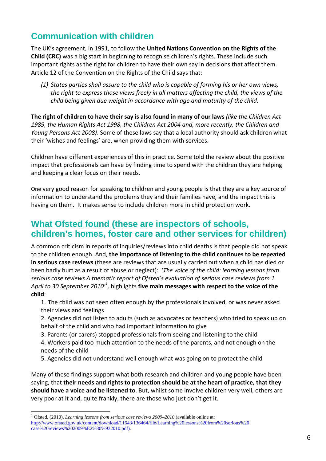### **Communication with children**

  The UK's agreement, in 1991, to follow the **United Nations Convention on the Rights of the Child (CRC)** was a big start in beginning to recognise children's rights. These include such important rights as the right for children to have their own say in decisions that affect them. Article 12 of the Convention on the Rights of the Child says that:

(1) States parties shall assure to the child who is capable of forming his or her own views, the right to express those views freely in all matters affecting the child, the views of the  *child being given due weight in accordance with age and maturity of the child.*

The right of children to have their say is also found in many of our laws (like the Children Act 1989, the Human Rights Act 1998, the Children Act 2004 and, more recently, the Children and  *Young Persons Act 2008)*. Some of these laws say that a local authority should ask children what their 'wishes and feelings' are, when providing them with services.

 Children have different experiences of this in practice. Some told the review about the positive impact that professionals can have by finding time to spend with the children they are helping and keeping a clear focus on their needs.

 One very good reason for speaking to children and young people is that they are a key source of information to understand the problems they and their families have, and the impact this is having on them. It makes sense to include children more in child protection work.

#### **What Ofsted found (these are inspectors of schools, children's homes, foster care and other services for children)**

 A common criticism in reports of inquiries/reviews into child deaths is that people did not speak  to the children enough. And, **the importance of listening to the child continues to be repeated in serious case reviews** (these are reviews that are usually carried out when a child has died or  been badly hurt as a result of abuse or neglect): '*The voice of the child: learning lessons from* serious case reviews A thematic report of Ofsted's evaluation of serious case reviews from 1 April to 30 September 2010<sup>,1</sup>, highlights **five main messages with respect to the voice of the child**:

 1. The child was not seen often enough by the professionals involved, or was never asked their views and feelings

 2. Agencies did not listen to adults (such as advocates or teachers) who tried to speak up on behalf of the child and who had important information to give

3. Parents (or carers) stopped professionals from seeing and listening to the child

 4. Workers paid too much attention to the needs of the parents, and not enough on the needs of the child

5. Agencies did not understand well enough what was going on to protect the child

 Many of these findings support what both research and children and young people have been saying, that their needs and rights to protection should be at the heart of practice, that they  **should have a voice and be listened to**. But, whilst some involve children very well, others are very poor at it and, quite frankly, there are those who just don't get it.

l

<sup>&</sup>lt;sup>1</sup> Ofsted, (2010), *Learning lessons from serious case reviews 2009–2010* (available online at: http://www.ofsted.gov.uk/content/download/11643/136464/file/Learning%20lessons%20from%20serious%20 case%20reviews%202009%E2%80%932010.pdf).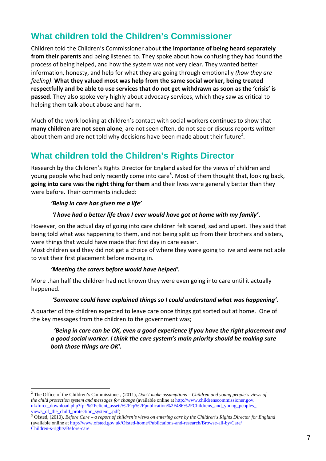### **What children told the Children's Commissioner**

  Children told the Children's Commissioner about **the importance of being heard separately from their parents** and being listened to. They spoke about how confusing they had found the process of being helped, and how the system was not very clear. They wanted better  information, honesty, and help for what they are going through emotionally *(how they are*  *feeling)*. **What they valued most was help from the same social worker, being treated** respectfully and be able to use services that do not get withdrawn as soon as the 'crisis' is **passed**. They also spoke very highly about advocacy services, which they saw as critical to helping them talk about abuse and harm.

 Much of the work looking at children's contact with social workers continues to show that  **many children are not seen alone**, are not seen often, do not see or discuss reports written about them and are not told why decisions have been made about their future<sup>2</sup>.

## **What children told the Children's Rights Director**

 Research by the Children's Rights Director for England asked for the views of children and young people who had only recently come into care<sup>3</sup>. Most of them thought that, looking back,  **going into care was the right thing for them** and their lives were generally better than they were before. Their comments included:

#### *'Being in care has given me a life'*

#### 'I have had a better life than I ever would have got at home with my family'.

 However, on the actual day of going into care children felt scared, sad and upset. They said that being told what was happening to them, and not being split up from their brothers and sisters, were things that would have made that first day in care easier.

 Most children said they did not get a choice of where they were going to live and were not able to visit their first placement before moving in.

#### *'Meeting the carers before would have helped'.*

 More than half the children had not known they were even going into care until it actually happened.

#### *'Someone could have explained things so I could understand what was happening'.*

 A quarter of the children expected to leave care once things got sorted out at home. One of the key messages from the children to the government was;

#### 'Being in care can be OK, even a good experience if you have the right placement and a good social worker. I think the care system's main priority should be making sure  *both those things are OK'.*

l *the child protection system and messages for change* (available online at http://www.childrenscommissioner.gov. <sup>2</sup> The Office of the Children's Commissioner, (2011), *Don't make assumptions – Children and young people's views of* uk/force\_download.php?fp=%2Fclient\_assets%2Fcp%2Fpublication%2F486%2FChildrens\_and\_young\_peoples\_ views\_of\_the\_child\_protection\_system\_.pdf)<br><sup>3</sup> Ofsted, (2010), *Before Care – a report of children's views on entering care by the Children's Rights Director for England* 

<sup>(</sup>available online at http://www.ofsted.gov.uk/Ofsted-home/Publications-and-research/Browse-all-by/Care/ Children-s-rights/Before-care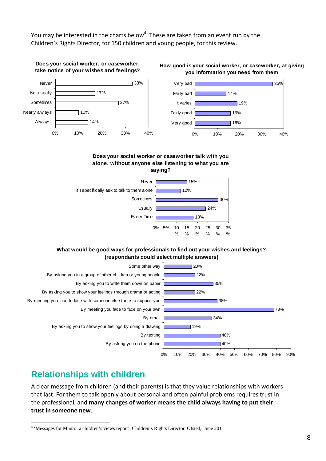You may be interested in the charts below<sup>4</sup>. These are taken from an event run by the Children's Rights Director, for 150 children and young people, for this review.



#### **Does your social worker or caseworker talk with you alone, without anyone else listening to what you are**



#### **What would be good ways for professionals to find out your wishes and feelings? (respondants could select multiple answers)**



### **Relationships with children**

l

 A clear message from children (and their parents) is that they value relationships with workers that last. For them to talk openly about personal and often painful problems requires trust in  the professional, and **many changes of worker means the child always having to put their trust in someone new**.

<sup>&</sup>lt;sup>4</sup> 'Messages for Munro: a children's views report', Children's Rights Director, Ofsted, June 2011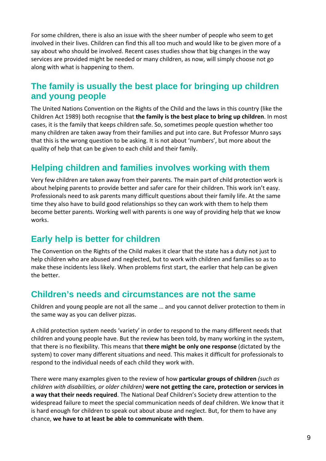For some children, there is also an issue with the sheer number of people who seem to get involved in their lives. Children can find this all too much and would like to be given more of a say about who should be involved. Recent cases studies show that big changes in the way services are provided might be needed or many children, as now, will simply choose not go along with what is happening to them.

### **The family is usually the best place for bringing up children and young people**

 The United Nations Convention on the Rights of the Child and the laws in this country (like the  Children Act 1989) both recognise that **the family is the best place to bring up children**. In most cases, it is the family that keeps children safe. So, sometimes people question whether too many children are taken away from their families and put into care. But Professor Munro says that this is the wrong question to be asking. It is not about 'numbers', but more about the quality of help that can be given to each child and their family.

### **Helping children and families involves working with them**

 Very few children are taken away from their parents. The main part of child protection work is about helping parents to provide better and safer care for their children. This work isn't easy. Professionals need to ask parents many difficult questions about their family life. At the same time they also have to build good relationships so they can work with them to help them become better parents. Working well with parents is one way of providing help that we know works.

#### **Early help is better for children**

 The Convention on the Rights of the Child makes it clear that the state has a duty not just to help children who are abused and neglected, but to work with children and families so as to make these incidents less likely. When problems first start, the earlier that help can be given the better.

#### **Children's needs and circumstances are not the same**

 Children and young people are not all the same … and you cannot deliver protection to them in the same way as you can deliver pizzas.

 A child protection system needs 'variety' in order to respond to the many different needs that children and young people have. But the review has been told, by many working in the system,  that there is no flexibility. This means that **there might be only one response** (dictated by the system) to cover many different situations and need. This makes it difficult for professionals to respond to the individual needs of each child they work with.

   There were many examples given to the review of how **particular groups of children** *(such as* children with disabilities, or older children) were not getting the care, protection or services in  **a way that their needs required**. The National Deaf Children's Society drew attention to the widespread failure to meet the special communication needs of deaf children. We know that it is hard enough for children to speak out about abuse and neglect. But, for them to have any  chance, **we have to at least be able to communicate with them**.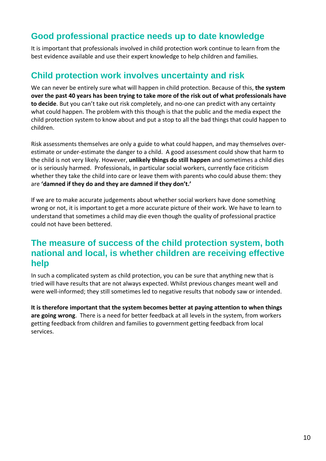### **Good professional practice needs up to date knowledge**

 It is important that professionals involved in child protection work continue to learn from the best evidence available and use their expert knowledge to help children and families.

#### **Child protection work involves uncertainty and risk**

  We can never be entirely sure what will happen in child protection. Because of this, **the system** over the past 40 years has been trying to take more of the risk out of what professionals have **to decide**. But you can't take out risk completely, and no‐one can predict with any certainty what could happen. The problem with this though is that the public and the media expect the child protection system to know about and put a stop to all the bad things that could happen to children.

 Risk assessments themselves are only a guide to what could happen, and may themselves over‐ estimate or under‐estimate the danger to a child. A good assessment could show that harm to  the child is not very likely. However, **unlikely things do still happen** and sometimes a child dies or is seriously harmed. Professionals, in particular social workers, currently face criticism whether they take the child into care or leave them with parents who could abuse them: they  are **'damned if they do and they are damned if they don't.'**

 If we are to make accurate judgements about whether social workers have done something wrong or not, it is important to get a more accurate picture of their work. We have to learn to understand that sometimes a child may die even though the quality of professional practice could not have been bettered.

#### **The measure of success of the child protection system, both national and local, is whether children are receiving effective help**

 In such a complicated system as child protection, you can be sure that anything new that is tried will have results that are not always expected. Whilst previous changes meant well and were well-informed; they still sometimes led to negative results that nobody saw or intended.

It is therefore important that the system becomes better at paying attention to when things  **are going wrong**. There is a need for better feedback at all levels in the system, from workers getting feedback from children and families to government getting feedback from local services.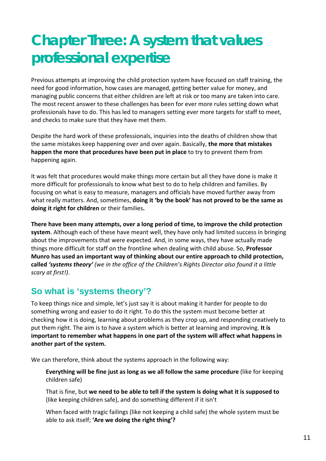## **Chapter Three: A system that values professional expertise**

 Previous attempts at improving the child protection system have focused on staff training, the need for good information, how cases are managed, getting better value for money, and managing public concerns that either children are left at risk or too many are taken into care. The most recent answer to these challenges has been for ever more rules setting down what professionals have to do. This has led to managers setting ever more targets for staff to meet, and checks to make sure that they have met them.

 Despite the hard work of these professionals, inquiries into the deaths of children show that  the same mistakes keep happening over and over again. Basically, **the more that mistakes happen the more that procedures have been put in place** to try to prevent them from happening again.

 It was felt that procedures would make things more certain but all they have done is make it more difficult for professionals to know what best to do to help children and families. By focusing on what is easy to measure, managers and officials have moved further away from  what really matters. And, sometimes, **doing it 'by the book' has not proved to be the same as doing it right for children** or their families**.**

There have been many attempts, over a long period of time, to improve the child protection **system**. Although each of these have meant well, they have only had limited success in bringing about the improvements that were expected. And, in some ways, they have actually made things more difficult for staff on the frontline when dealing with child abuse. So, **Professor** Munro has used an important way of thinking about our entire approach to child protection, called 'systems theory' (we in the office of the Children's Rights Director also found it a little  *scary at first!)*.

### **So what is 'systems theory'?**

 To keep things nice and simple, let's just say it is about making it harder for people to do something wrong and easier to do it right. To do this the system must become better at checking how it is doing, learning about problems as they crop up, and responding creatively to  put them right. The aim is to have a system which is better at learning and improving. **It is** important to remember what happens in one part of the system will affect what happens in  **another part of the system.**

We can therefore, think about the systems approach in the following way:

Everything will be fine just as long as we all follow the same procedure (like for keeping children safe)

That is fine, but we need to be able to tell if the system is doing what it is supposed to (like keeping children safe), and do something different if it isn't

 When faced with tragic failings (like not keeping a child safe) the whole system must be  able to ask itself; **'Are we doing the right thing'?**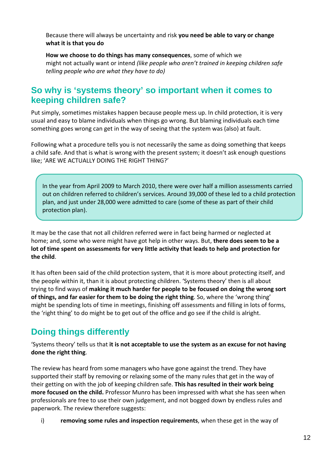Because there will always be uncertainty and risk **you need be able to vary or change what it is that you do**

 **How we choose to do things has many consequences**, some of which we  might not actually want or intend *(like people who aren't trained in keeping children safe telling people who are what they have to do)*

#### **So why is 'systems theory' so important when it comes to keeping children safe?**

 Put simply, sometimes mistakes happen because people mess up. In child protection, it is very usual and easy to blame individuals when things go wrong. But blaming individuals each time something goes wrong can get in the way of seeing that the system was (also) at fault.

 Following what a procedure tells you is not necessarily the same as doing something that keeps a child safe. And that is what is wrong with the present system; it doesn't ask enough questions like; 'ARE WE ACTUALLY DOING THE RIGHT THING?'

In the year from April 2009 to March 2010, there were over half a million assessments carried out on children referred to children's services. Around 39,000 of these led to a child protection plan, and just under 28,000 were admitted to care (some of these as part of their child protection plan).

 It may be the case that not all children referred were in fact being harmed or neglected at  home; and, some who were might have got help in other ways. But, **there does seem to be a** lot of time spent on assessments for very little activity that leads to help and protection for **the child**.

 It has often been said of the child protection system, that it is more about protecting itself, and the people within it, than it is about protecting children. 'Systems theory' then is all about trying to find ways of making it much harder for people to be focused on doing the wrong sort of things, and far easier for them to be doing the right thing. So, where the 'wrong thing' might be spending lots of time in meetings, finishing off assessments and filling in lots of forms, the 'right thing' to do might be to get out of the office and go see if the child is alright.

## **Doing things differently**

'Systems theory' tells us that it is not acceptable to use the system as an excuse for not having  **done the right thing**.

 The review has heard from some managers who have gone against the trend. They have supported their staff by removing or relaxing some of the many rules that get in the way of  their getting on with the job of keeping children safe. **This has resulted in their work being more focused on the child.** Professor Munro has been impressed with what she has seen when professionals are free to use their own judgement, and not bogged down by endless rules and paperwork. The review therefore suggests:

 i) **removing some rules and inspection requirements**, when these get in the way of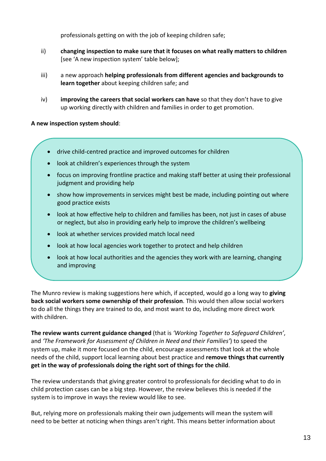professionals getting on with the job of keeping children safe;

- ii) **changing inspection to make sure that it focuses on what really matters to children** [see 'A new inspection system' table below];
- iii) a new approach **helping professionals from different agencies and backgrounds to learn together** about keeping children safe; and
- iv) **improving the careers that social workers can have** so that they don't have to give up working directly with children and families in order to get promotion.

 **A new inspection system should**:

- drive child‐centred practice and improved outcomes for children
- look at children's experiences through the system
- focus on improving frontline practice and making staff better at using their professional judgment and providing help
- show how improvements in services might best be made, including pointing out where good practice exists
- look at how effective help to children and families has been, not just in cases of abuse or neglect, but also in providing early help to improve the children's wellbeing
- look at whether services provided match local need
- look at how local agencies work together to protect and help children
- look at how local authorities and the agencies they work with are learning, changing and improving

 The Munro review is making suggestions here which, if accepted, would go a long way to **giving back social workers some ownership of their profession**. This would then allow social workers to do all the things they are trained to do, and most want to do, including more direct work with children.

  **The review wants current guidance changed** (that is *'Working Together to Safeguard Children'*,  and *'The Framework for Assessment of Children in Need and their Families'*) to speed the system up, make it more focused on the child, encourage assessments that look at the whole  needs of the child, support local learning about best practice and **remove things that currently get in the way of professionals doing the right sort of things for the child**.

 The review understands that giving greater control to professionals for deciding what to do in child protection cases can be a big step. However, the review believes this is needed if the system is to improve in ways the review would like to see.

 But, relying more on professionals making their own judgements will mean the system will need to be better at noticing when things aren't right. This means better information about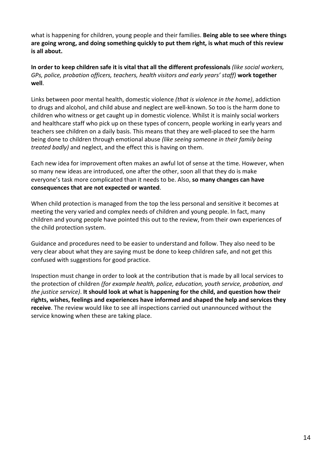what is happening for children, young people and their families. **Being able to see where things** are going wrong, and doing something quickly to put them right, is what much of this review  **is all about.**

In order to keep children safe it is vital that all the different professionals (like social workers, GPs, police, probation officers, teachers, health visitors and early years' staff) work together **well**.

  Links between poor mental health, domestic violence *(that is violence in the home)*, addiction to drugs and alcohol, and child abuse and neglect are well‐known. So too is the harm done to children who witness or get caught up in domestic violence. Whilst it is mainly social workers and healthcare staff who pick up on these types of concern, people working in early years and teachers see children on a daily basis. This means that they are well‐placed to see the harm  being done to children through emotional abuse *(like seeing someone in their family being treated badly)* and neglect, and the effect this is having on them.

 Each new idea for improvement often makes an awful lot of sense at the time. However, when so many new ideas are introduced, one after the other, soon all that they do is make  everyone's task more complicated than it needs to be. Also, **so many changes can have consequences that are not expected or wanted**.

 When child protection is managed from the top the less personal and sensitive it becomes at meeting the very varied and complex needs of children and young people. In fact, many children and young people have pointed this out to the review, from their own experiences of the child protection system.

 Guidance and procedures need to be easier to understand and follow. They also need to be very clear about what they are saying must be done to keep children safe, and not get this confused with suggestions for good practice.

 Inspection must change in order to look at the contribution that is made by all local services to  the protection of children *(for example health, police, education, youth service, probation, and* the justice service). It should look at what is happening for the child, and question how their rights, wishes, feelings and experiences have informed and shaped the help and services they **receive**. The review would like to see all inspections carried out unannounced without the service knowing when these are taking place.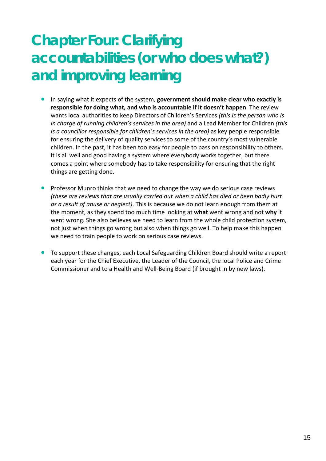## **Chapter Four: Clarifying accountabilities (or who does what?) and improving learning**

- • In saying what it expects of the system, **government should make clear who exactly is responsible for doing what, and who is accountable if it doesn't happen**. The review  wants local authorities to keep Directors of Children's Services *(this is the person who is in charge of running children's services in the area)* and a Lead Member for Children *(this is a councillor responsible for children's services in the area)* as key people responsible for ensuring the delivery of quality services to some of the country's most vulnerable children. In the past, it has been too easy for people to pass on responsibility to others. It is all well and good having a system where everybody works together, but there comes a point where somebody has to take responsibility for ensuring that the right things are getting done.
- Professor Munro thinks that we need to change the way we do serious case reviews (these are reviews that are usually carried out when a child has died or been badly hurt  *as a result of abuse or neglect)*. This is because we do not learn enough from them at the moment, as they spend too much time looking at **what** went wrong and not **why** it went wrong. She also believes we need to learn from the whole child protection system, not just when things go wrong but also when things go well. To help make this happen we need to train people to work on serious case reviews.
- **•** To support these changes, each Local Safeguarding Children Board should write a report each year for the Chief Executive, the Leader of the Council, the local Police and Crime Commissioner and to a Health and Well‐Being Board (if brought in by new laws).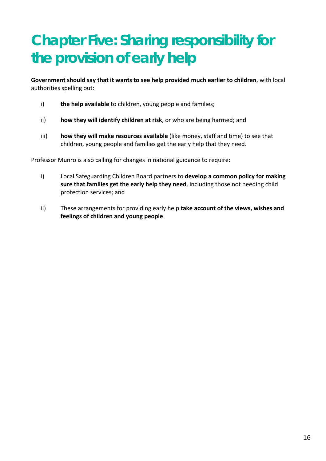## **Chapter Five: Sharing responsibility for the provision of early help**

Government should say that it wants to see help provided much earlier to children, with local authorities spelling out:

- i) **the help available** to children, young people and families;
- ii) **how they will identify children at risk**, or who are being harmed; and
- iii) **how they will make resources available** (like money, staff and time) to see that children, young people and families get the early help that they need.

Professor Munro is also calling for changes in national guidance to require:

- i) Local Safeguarding Children Board partners to **develop a common policy for making sure that families get the early help they need**, including those not needing child protection services; and
- ii) These arrangements for providing early help **take account of the views, wishes and feelings of children and young people**.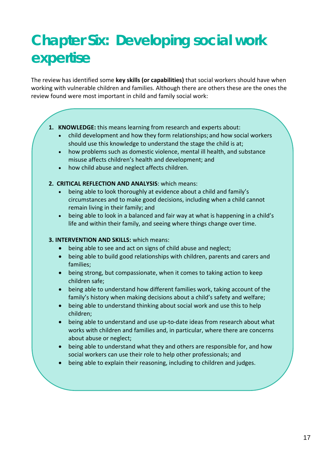## **Chapter Six: Developing social work expertise**

  The review has identified some **key skills (or capabilities)** that social workers should have when working with vulnerable children and families. Although there are others these are the ones the review found were most important in child and family social work:

- 1. **KNOWLEDGE:** this means learning from research and experts about:
	- child development and how they form relationships; and how social workers should use this knowledge to understand the stage the child is at;
	- how problems such as domestic violence, mental ill health, and substance misuse affects children's health and development; and
	- how child abuse and neglect affects children.
- **2. CRITICAL REFLECTION AND ANALYSIS**: which means:
	- being able to look thoroughly at evidence about a child and family's circumstances and to make good decisions, including when a child cannot remain living in their family; and
	- being able to look in a balanced and fair way at what is happening in a child's life and within their family, and seeing where things change over time.

#### **3. INTERVENTION AND SKILLS:** which means:

- being able to see and act on signs of child abuse and neglect;
- being able to build good relationships with children, parents and carers and families;
- being strong, but compassionate, when it comes to taking action to keep children safe;
- being able to understand how different families work, taking account of the family's history when making decisions about a child's safety and welfare;
- being able to understand thinking about social work and use this to help children;
- being able to understand and use up‐to‐date ideas from research about what works with children and families and, in particular, where there are concerns about abuse or neglect;
- being able to understand what they and others are responsible for, and how social workers can use their role to help other professionals; and
- being able to explain their reasoning, including to children and judges.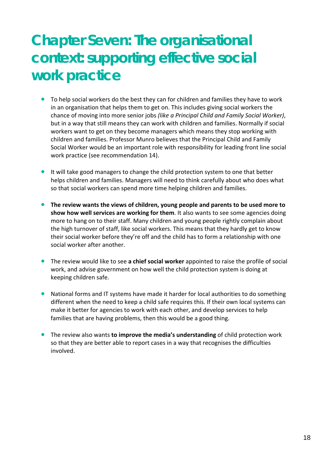## **Chapter Seven: The organisational context: supporting effective social work practice**

- To help social workers do the best they can for children and families they have to work in an organisation that helps them to get on. This includes giving social workers the  chance of moving into more senior jobs *(like a Principal Child and Family Social Worker)*, but in a way that still means they can work with children and families. Normally if social workers want to get on they become managers which means they stop working with children and families. Professor Munro believes that the Principal Child and Family Social Worker would be an important role with responsibility for leading front line social work practice (see recommendation 14).
- **•** It will take good managers to change the child protection system to one that better helps children and families. Managers will need to think carefully about who does what so that social workers can spend more time helping children and families.
- The review wants the views of children, young people and parents to be used more to  **show how well services are working for them**. It also wants to see some agencies doing more to hang on to their staff. Many children and young people rightly complain about the high turnover of staff, like social workers. This means that they hardly get to know their social worker before they're off and the child has to form a relationship with one social worker after another.
- **•** The review would like to see **a chief social worker** appointed to raise the profile of social work, and advise government on how well the child protection system is doing at keeping children safe.
- National forms and IT systems have made it harder for local authorities to do something different when the need to keep a child safe requires this. If their own local systems can make it better for agencies to work with each other, and develop services to help families that are having problems, then this would be a good thing.
- • The review also wants **to improve the media's understanding** of child protection work so that they are better able to report cases in a way that recognises the difficulties involved.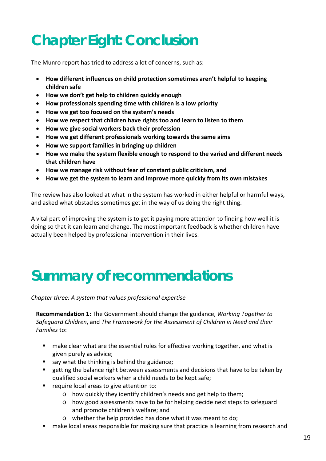## **Chapter Eight: Conclusion**

The Munro report has tried to address a lot of concerns, such as:

- • **How different influences on child protection sometimes aren't helpful to keeping children safe**
- • **How we don't get help to children quickly enough**
- • **How professionals spending time with children is a low priority**
- • **How we get too focused on the system's needs**
- • **How we respect that children have rights too and learn to listen to them**
- • **How we give social workers back their profession**
- • **How we get different professionals working towards the same aims**
- • **How we support families in bringing up children**
- How we make the system flexible enough to respond to the varied and different needs  **that children have**
- • **How we manage risk without fear of constant public criticism, and**
- • **How we get the system to learn and improve more quickly from its own mistakes**

 The review has also looked at what in the system has worked in either helpful or harmful ways, and asked what obstacles sometimes get in the way of us doing the right thing.

 A vital part of improving the system is to get it paying more attention to finding how well it is doing so that it can learn and change. The most important feedback is whether children have actually been helped by professional intervention in their lives.

## **Summary of recommendations**

 *Chapter three: A system that values professional expertise*

  **Recommendation 1:** The Government should change the guidance, *Working Together to Safeguard Children*, and *The Framework for the Assessment of Children in Need and their Families* to:

- **nake clear what are the essential rules for effective working together, and what is** given purely as advice;
- say what the thinking is behind the guidance;
- **EXT** getting the balance right between assessments and decisions that have to be taken by qualified social workers when a child needs to be kept safe;
- **P** require local areas to give attention to:
	- o how quickly they identify children's needs and get help to them;
	- o how good assessments have to be for helping decide next steps to safeguard and promote children's welfare; and
	- o whether the help provided has done what it was meant to do;
- **nake local areas responsible for making sure that practice is learning from research and**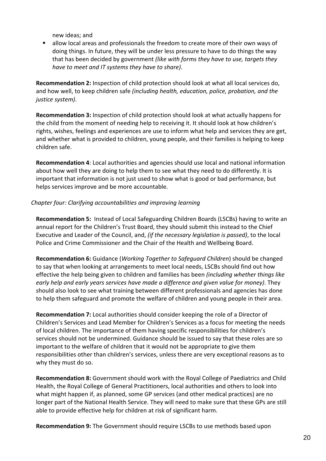new ideas; and

 $\blacksquare$  allow local areas and professionals the freedom to create more of their own ways of doing things. In future, they will be under less pressure to have to do things the way  that has been decided by government *(like with forms they have to use, targets they have to meet and IT systems they have to share)*.

 **Recommendation 2:** Inspection of child protection should look at what all local services do,  and how well, to keep children safe *(including health, education, police, probation, and the justice system)*.

 **Recommendation 3:** Inspection of child protection should look at what actually happens for the child from the moment of needing help to receiving it. It should look at how children's rights, wishes, feelings and experiences are use to inform what help and services they are get, and whether what is provided to children, young people, and their families is helping to keep children safe.

 **Recommendation 4**: Local authorities and agencies should use local and national information about how well they are doing to help them to see what they need to do differently. It is important that information is not just used to show what is good or bad performance, but helps services improve and be more accountable.

#### *Chapter four: Clarifying accountabilities and improving learning*

 **Recommendation 5:** Instead of Local Safeguarding Children Boards (LSCBs) having to write an annual report for the Children's Trust Board, they should submit this instead to the Chief  Executive and Leader of the Council, and, *(if the necessary legislation is passed)*, to the local Police and Crime Commissioner and the Chair of the Health and Wellbeing Board.

  **Recommendation 6:** Guidance (*Working Together to Safeguard Children*) should be changed to say that when looking at arrangements to meet local needs, LSCBs should find out how  effective the help being given to children and families has been *(including whether things like* early help and early years services have made a difference and given value for money). They should also look to see what training between different professionals and agencies has done to help them safeguard and promote the welfare of children and young people in their area.

 **Recommendation 7:** Local authorities should consider keeping the role of a Director of Children's Services and Lead Member for Children's Services as a focus for meeting the needs of local children. The importance of them having specific responsibilities for children's services should not be undermined. Guidance should be issued to say that these roles are so important to the welfare of children that it would not be appropriate to give them responsibilities other than children's services, unless there are very exceptional reasons as to why they must do so.

 **Recommendation 8:** Government should work with the Royal College of Paediatrics and Child Health, the Royal College of General Practitioners, local authorities and others to look into what might happen if, as planned, some GP services (and other medical practices) are no longer part of the National Health Service. They will need to make sure that these GPs are still able to provide effective help for children at risk of significant harm.

 **Recommendation 9:** The Government should require LSCBs to use methods based upon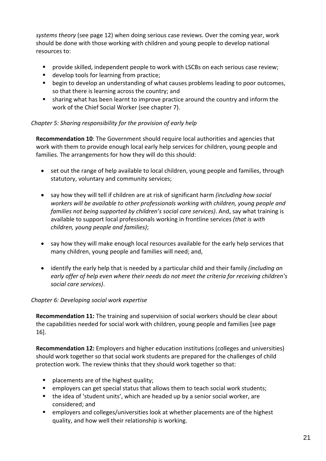*systems theory* (see page 12) when doing serious case reviews. Over the coming year, work should be done with those working with children and young people to develop national resources to:

- **Perovide skilled, independent people to work with LSCBs on each serious case review;**
- **develop tools for learning from practice;**
- **Degin to develop an understanding of what causes problems leading to poor outcomes,** so that there is learning across the country; and
- **sharing what has been learnt to improve practice around the country and inform the** work of the Chief Social Worker (see chapter 7).

#### *Chapter 5: Sharing responsibility for the provision of early help*

 **Recommendation 10**: The Government should require local authorities and agencies that work with them to provide enough local early help services for children, young people and families. The arrangements for how they will do this should:

- set out the range of help available to local children, young people and families, through statutory, voluntary and community services;
- • say how they will tell if children are at risk of significant harm *(including how social workers will be available to other professionals working with children, young people and families not being supported by children's social care services)*. And, say what training is  available to support local professionals working in frontline services *(that is with children, young people and families)*;
- say how they will make enough local resources available for the early help services that many children, young people and families will need; and,
- • identify the early help that is needed by a particular child and their family *(including an* early offer of help even where their needs do not meet the criteria for receiving children's  *social care services)*.

#### *Chapter 6: Developing social work expertise*

 **Recommendation 11:** The training and supervision of social workers should be clear about the capabilities needed for social work with children, young people and families [see page 16].

 **Recommendation 12:** Employers and higher education institutions (colleges and universities) should work together so that social work students are prepared for the challenges of child protection work. The review thinks that they should work together so that:

- **placements are of the highest quality;**
- **P** employers can get special status that allows them to teach social work students;
- the idea of 'student units', which are headed up by a senior social worker, are considered; and
- **EXT** employers and colleges/universities look at whether placements are of the highest quality, and how well their relationship is working.